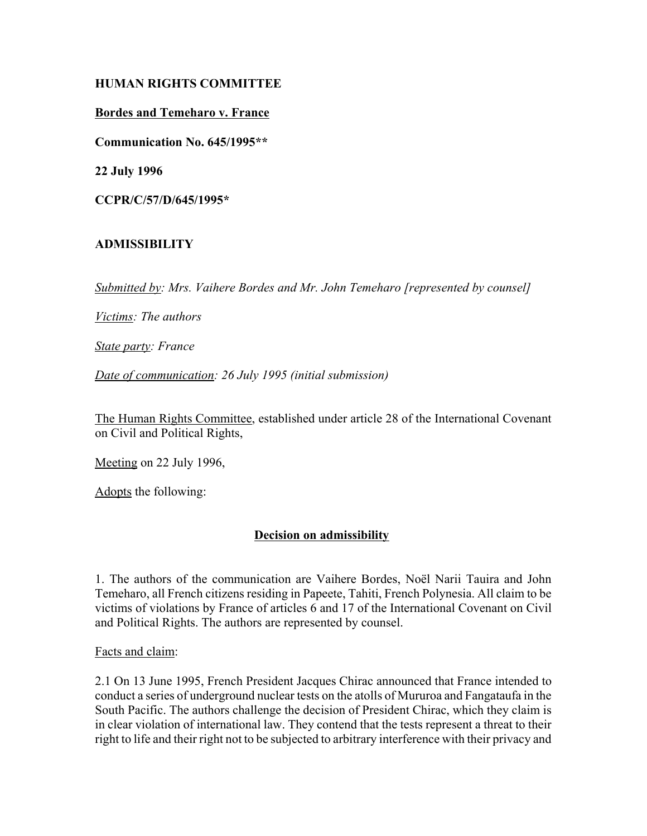# **HUMAN RIGHTS COMMITTEE**

#### **Bordes and Temeharo v. France**

**Communication No. 645/1995\*\***

**22 July 1996**

**CCPR/C/57/D/645/1995\***

# **ADMISSIBILITY**

*Submitted by: Mrs. Vaihere Bordes and Mr. John Temeharo [represented by counsel]*

*Victims: The authors*

*State party: France*

*Date of communication: 26 July 1995 (initial submission)*

The Human Rights Committee, established under article 28 of the International Covenant on Civil and Political Rights,

Meeting on 22 July 1996,

Adopts the following:

# **Decision on admissibility**

1. The authors of the communication are Vaihere Bordes, Noël Narii Tauira and John Temeharo, all French citizens residing in Papeete, Tahiti, French Polynesia. All claim to be victims of violations by France of articles 6 and 17 of the International Covenant on Civil and Political Rights. The authors are represented by counsel.

Facts and claim:

2.1 On 13 June 1995, French President Jacques Chirac announced that France intended to conduct a series of underground nuclear tests on the atolls of Mururoa and Fangataufa in the South Pacific. The authors challenge the decision of President Chirac, which they claim is in clear violation of international law. They contend that the tests represent a threat to their right to life and their right not to be subjected to arbitrary interference with their privacy and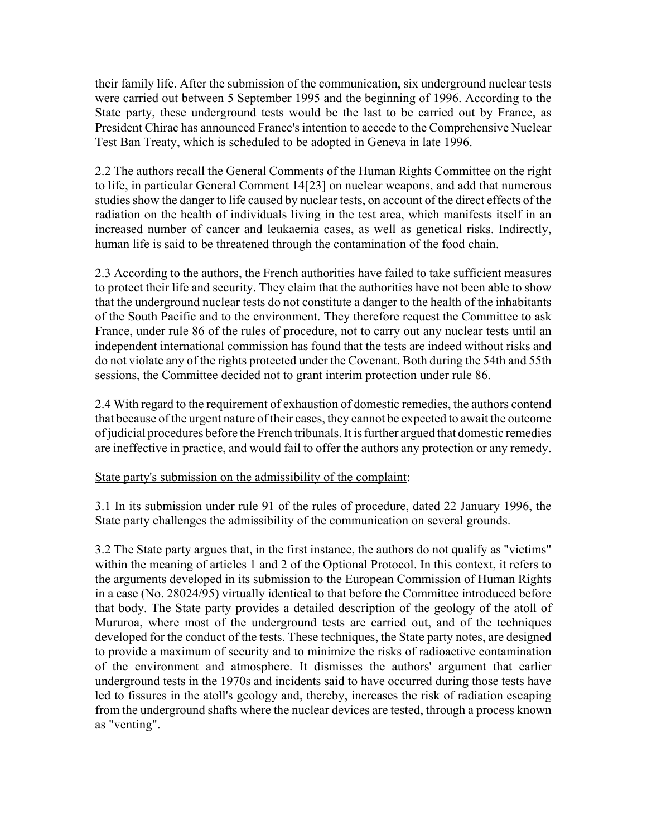their family life. After the submission of the communication, six underground nuclear tests were carried out between 5 September 1995 and the beginning of 1996. According to the State party, these underground tests would be the last to be carried out by France, as President Chirac has announced France's intention to accede to the Comprehensive Nuclear Test Ban Treaty, which is scheduled to be adopted in Geneva in late 1996.

2.2 The authors recall the General Comments of the Human Rights Committee on the right to life, in particular General Comment 14[23] on nuclear weapons, and add that numerous studies show the danger to life caused by nuclear tests, on account of the direct effects of the radiation on the health of individuals living in the test area, which manifests itself in an increased number of cancer and leukaemia cases, as well as genetical risks. Indirectly, human life is said to be threatened through the contamination of the food chain.

2.3 According to the authors, the French authorities have failed to take sufficient measures to protect their life and security. They claim that the authorities have not been able to show that the underground nuclear tests do not constitute a danger to the health of the inhabitants of the South Pacific and to the environment. They therefore request the Committee to ask France, under rule 86 of the rules of procedure, not to carry out any nuclear tests until an independent international commission has found that the tests are indeed without risks and do not violate any of the rights protected under the Covenant. Both during the 54th and 55th sessions, the Committee decided not to grant interim protection under rule 86.

2.4 With regard to the requirement of exhaustion of domestic remedies, the authors contend that because of the urgent nature of their cases, they cannot be expected to await the outcome of judicial procedures before the French tribunals. It is further argued that domestic remedies are ineffective in practice, and would fail to offer the authors any protection or any remedy.

#### State party's submission on the admissibility of the complaint:

3.1 In its submission under rule 91 of the rules of procedure, dated 22 January 1996, the State party challenges the admissibility of the communication on several grounds.

3.2 The State party argues that, in the first instance, the authors do not qualify as "victims" within the meaning of articles 1 and 2 of the Optional Protocol. In this context, it refers to the arguments developed in its submission to the European Commission of Human Rights in a case (No. 28024/95) virtually identical to that before the Committee introduced before that body. The State party provides a detailed description of the geology of the atoll of Mururoa, where most of the underground tests are carried out, and of the techniques developed for the conduct of the tests. These techniques, the State party notes, are designed to provide a maximum of security and to minimize the risks of radioactive contamination of the environment and atmosphere. It dismisses the authors' argument that earlier underground tests in the 1970s and incidents said to have occurred during those tests have led to fissures in the atoll's geology and, thereby, increases the risk of radiation escaping from the underground shafts where the nuclear devices are tested, through a process known as "venting".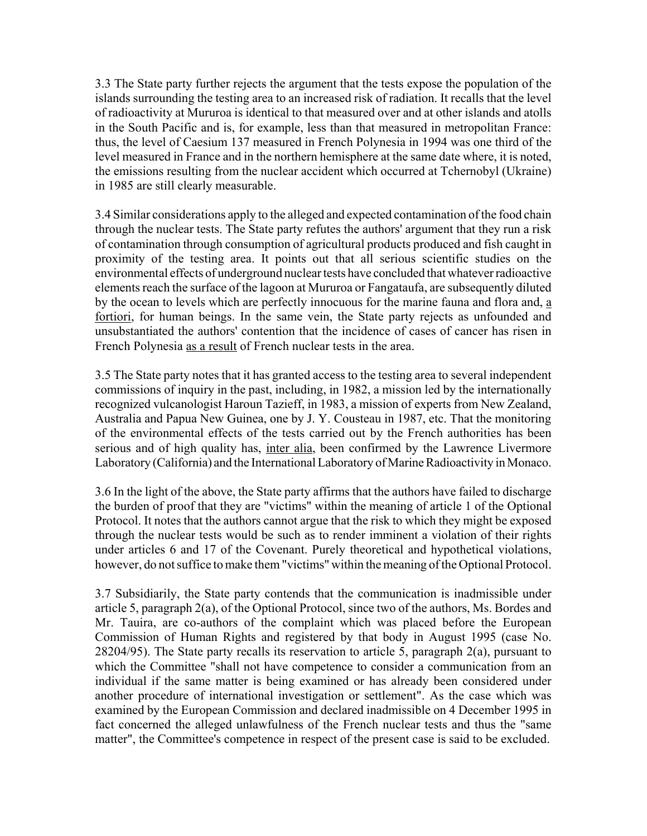3.3 The State party further rejects the argument that the tests expose the population of the islands surrounding the testing area to an increased risk of radiation. It recalls that the level of radioactivity at Mururoa is identical to that measured over and at other islands and atolls in the South Pacific and is, for example, less than that measured in metropolitan France: thus, the level of Caesium 137 measured in French Polynesia in 1994 was one third of the level measured in France and in the northern hemisphere at the same date where, it is noted, the emissions resulting from the nuclear accident which occurred at Tchernobyl (Ukraine) in 1985 are still clearly measurable.

3.4 Similar considerations apply to the alleged and expected contamination of the food chain through the nuclear tests. The State party refutes the authors' argument that they run a risk of contamination through consumption of agricultural products produced and fish caught in proximity of the testing area. It points out that all serious scientific studies on the environmental effects of underground nuclear tests have concluded that whatever radioactive elements reach the surface of the lagoon at Mururoa or Fangataufa, are subsequently diluted by the ocean to levels which are perfectly innocuous for the marine fauna and flora and, a fortiori, for human beings. In the same vein, the State party rejects as unfounded and unsubstantiated the authors' contention that the incidence of cases of cancer has risen in French Polynesia as a result of French nuclear tests in the area.

3.5 The State party notes that it has granted access to the testing area to several independent commissions of inquiry in the past, including, in 1982, a mission led by the internationally recognized vulcanologist Haroun Tazieff, in 1983, a mission of experts from New Zealand, Australia and Papua New Guinea, one by J. Y. Cousteau in 1987, etc. That the monitoring of the environmental effects of the tests carried out by the French authorities has been serious and of high quality has, inter alia, been confirmed by the Lawrence Livermore Laboratory (California) and the International Laboratory of Marine Radioactivity in Monaco.

3.6 In the light of the above, the State party affirms that the authors have failed to discharge the burden of proof that they are "victims" within the meaning of article 1 of the Optional Protocol. It notes that the authors cannot argue that the risk to which they might be exposed through the nuclear tests would be such as to render imminent a violation of their rights under articles 6 and 17 of the Covenant. Purely theoretical and hypothetical violations, however, do not suffice to make them "victims" within the meaning of the Optional Protocol.

3.7 Subsidiarily, the State party contends that the communication is inadmissible under article 5, paragraph 2(a), of the Optional Protocol, since two of the authors, Ms. Bordes and Mr. Tauira, are co-authors of the complaint which was placed before the European Commission of Human Rights and registered by that body in August 1995 (case No. 28204/95). The State party recalls its reservation to article 5, paragraph 2(a), pursuant to which the Committee "shall not have competence to consider a communication from an individual if the same matter is being examined or has already been considered under another procedure of international investigation or settlement". As the case which was examined by the European Commission and declared inadmissible on 4 December 1995 in fact concerned the alleged unlawfulness of the French nuclear tests and thus the "same matter", the Committee's competence in respect of the present case is said to be excluded.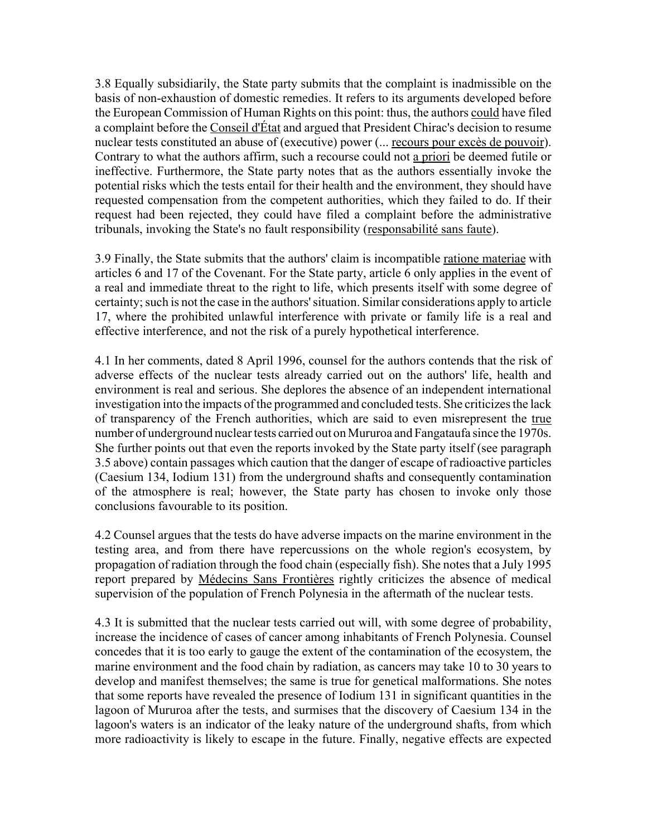3.8 Equally subsidiarily, the State party submits that the complaint is inadmissible on the basis of non-exhaustion of domestic remedies. It refers to its arguments developed before the European Commission of Human Rights on this point: thus, the authors could have filed a complaint before the Conseil d'État and argued that President Chirac's decision to resume nuclear tests constituted an abuse of (executive) power (... recours pour excès de pouvoir). Contrary to what the authors affirm, such a recourse could not a priori be deemed futile or ineffective. Furthermore, the State party notes that as the authors essentially invoke the potential risks which the tests entail for their health and the environment, they should have requested compensation from the competent authorities, which they failed to do. If their request had been rejected, they could have filed a complaint before the administrative tribunals, invoking the State's no fault responsibility (responsabilité sans faute).

3.9 Finally, the State submits that the authors' claim is incompatible ratione materiae with articles 6 and 17 of the Covenant. For the State party, article 6 only applies in the event of a real and immediate threat to the right to life, which presents itself with some degree of certainty; such is not the case in the authors' situation. Similar considerations apply to article 17, where the prohibited unlawful interference with private or family life is a real and effective interference, and not the risk of a purely hypothetical interference.

4.1 In her comments, dated 8 April 1996, counsel for the authors contends that the risk of adverse effects of the nuclear tests already carried out on the authors' life, health and environment is real and serious. She deplores the absence of an independent international investigation into the impacts of the programmed and concluded tests. She criticizes the lack of transparency of the French authorities, which are said to even misrepresent the true number of underground nuclear tests carried out on Mururoa and Fangataufa since the 1970s. She further points out that even the reports invoked by the State party itself (see paragraph 3.5 above) contain passages which caution that the danger of escape of radioactive particles (Caesium 134, Iodium 131) from the underground shafts and consequently contamination of the atmosphere is real; however, the State party has chosen to invoke only those conclusions favourable to its position.

4.2 Counsel argues that the tests do have adverse impacts on the marine environment in the testing area, and from there have repercussions on the whole region's ecosystem, by propagation of radiation through the food chain (especially fish). She notes that a July 1995 report prepared by Médecins Sans Frontières rightly criticizes the absence of medical supervision of the population of French Polynesia in the aftermath of the nuclear tests.

4.3 It is submitted that the nuclear tests carried out will, with some degree of probability, increase the incidence of cases of cancer among inhabitants of French Polynesia. Counsel concedes that it is too early to gauge the extent of the contamination of the ecosystem, the marine environment and the food chain by radiation, as cancers may take 10 to 30 years to develop and manifest themselves; the same is true for genetical malformations. She notes that some reports have revealed the presence of Iodium 131 in significant quantities in the lagoon of Mururoa after the tests, and surmises that the discovery of Caesium 134 in the lagoon's waters is an indicator of the leaky nature of the underground shafts, from which more radioactivity is likely to escape in the future. Finally, negative effects are expected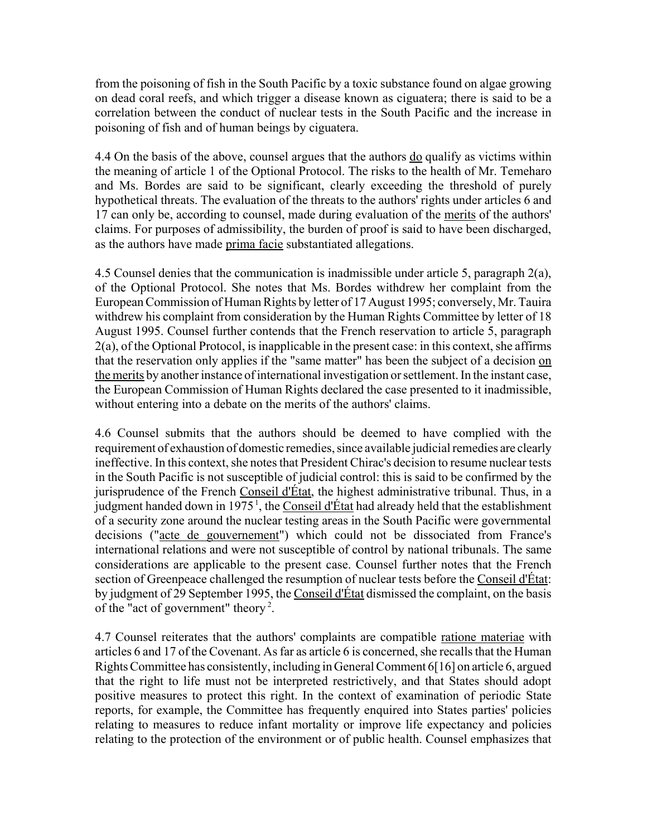from the poisoning of fish in the South Pacific by a toxic substance found on algae growing on dead coral reefs, and which trigger a disease known as ciguatera; there is said to be a correlation between the conduct of nuclear tests in the South Pacific and the increase in poisoning of fish and of human beings by ciguatera.

4.4 On the basis of the above, counsel argues that the authors <u>do</u> qualify as victims within the meaning of article 1 of the Optional Protocol. The risks to the health of Mr. Temeharo and Ms. Bordes are said to be significant, clearly exceeding the threshold of purely hypothetical threats. The evaluation of the threats to the authors' rights under articles 6 and 17 can only be, according to counsel, made during evaluation of the merits of the authors' claims. For purposes of admissibility, the burden of proof is said to have been discharged, as the authors have made prima facie substantiated allegations.

4.5 Counsel denies that the communication is inadmissible under article 5, paragraph 2(a), of the Optional Protocol. She notes that Ms. Bordes withdrew her complaint from the European Commission of Human Rights by letter of 17 August 1995; conversely, Mr. Tauira withdrew his complaint from consideration by the Human Rights Committee by letter of 18 August 1995. Counsel further contends that the French reservation to article 5, paragraph 2(a), of the Optional Protocol, is inapplicable in the present case: in this context, she affirms that the reservation only applies if the "same matter" has been the subject of a decision on the merits by another instance of international investigation or settlement. In the instant case, the European Commission of Human Rights declared the case presented to it inadmissible, without entering into a debate on the merits of the authors' claims.

4.6 Counsel submits that the authors should be deemed to have complied with the requirement of exhaustion of domestic remedies, since available judicial remedies are clearly ineffective. In this context, she notes that President Chirac's decision to resume nuclear tests in the South Pacific is not susceptible of judicial control: this is said to be confirmed by the jurisprudence of the French Conseil d'État, the highest administrative tribunal. Thus, in a judgment handed down in 1975<sup> $1$ </sup>, the Conseil d'État had already held that the establishment of a security zone around the nuclear testing areas in the South Pacific were governmental decisions ("acte de gouvernement") which could not be dissociated from France's international relations and were not susceptible of control by national tribunals. The same considerations are applicable to the present case. Counsel further notes that the French section of Greenpeace challenged the resumption of nuclear tests before the Conseil d'État: by judgment of 29 September 1995, the Conseil d'État dismissed the complaint, on the basis of the "act of government" theory 2.

4.7 Counsel reiterates that the authors' complaints are compatible ratione materiae with articles 6 and 17 of the Covenant. As far as article 6 is concerned, she recalls that the Human Rights Committee has consistently, including in General Comment 6[16] on article 6, argued that the right to life must not be interpreted restrictively, and that States should adopt positive measures to protect this right. In the context of examination of periodic State reports, for example, the Committee has frequently enquired into States parties' policies relating to measures to reduce infant mortality or improve life expectancy and policies relating to the protection of the environment or of public health. Counsel emphasizes that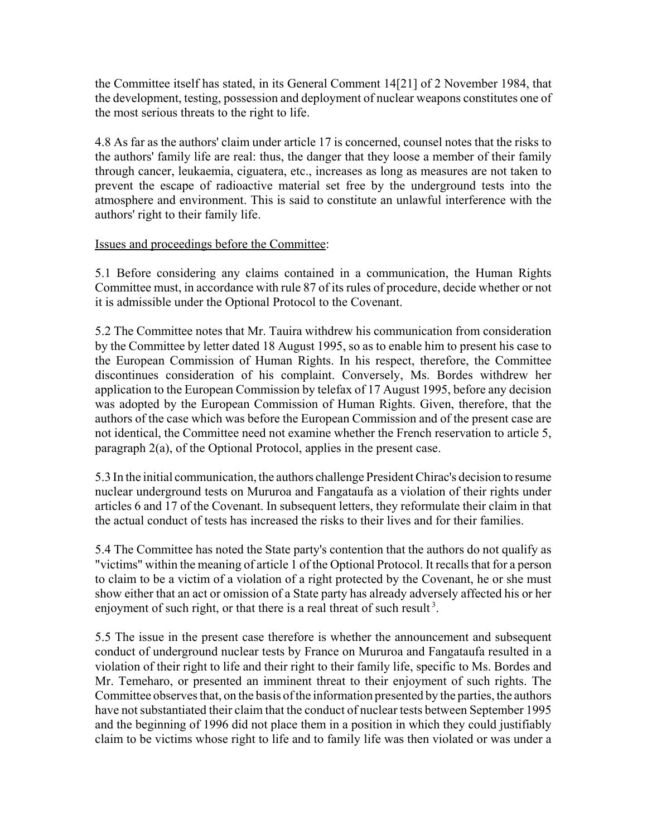the Committee itself has stated, in its General Comment 14[21] of 2 November 1984, that the development, testing, possession and deployment of nuclear weapons constitutes one of the most serious threats to the right to life.

4.8 As far as the authors' claim under article 17 is concerned, counsel notes that the risks to the authors' family life are real: thus, the danger that they loose a member of their family through cancer, leukaemia, ciguatera, etc., increases as long as measures are not taken to prevent the escape of radioactive material set free by the underground tests into the atmosphere and environment. This is said to constitute an unlawful interference with the authors' right to their family life.

# Issues and proceedings before the Committee:

5.1 Before considering any claims contained in a communication, the Human Rights Committee must, in accordance with rule 87 of its rules of procedure, decide whether or not it is admissible under the Optional Protocol to the Covenant.

5.2 The Committee notes that Mr. Tauira withdrew his communication from consideration by the Committee by letter dated 18 August 1995, so as to enable him to present his case to the European Commission of Human Rights. In his respect, therefore, the Committee discontinues consideration of his complaint. Conversely, Ms. Bordes withdrew her application to the European Commission by telefax of 17 August 1995, before any decision was adopted by the European Commission of Human Rights. Given, therefore, that the authors of the case which was before the European Commission and of the present case are not identical, the Committee need not examine whether the French reservation to article 5, paragraph 2(a), of the Optional Protocol, applies in the present case.

5.3 In the initial communication, the authors challenge President Chirac's decision to resume nuclear underground tests on Mururoa and Fangataufa as a violation of their rights under articles 6 and 17 of the Covenant. In subsequent letters, they reformulate their claim in that the actual conduct of tests has increased the risks to their lives and for their families.

5.4 The Committee has noted the State party's contention that the authors do not qualify as "victims" within the meaning of article 1 of the Optional Protocol. It recalls that for a person to claim to be a victim of a violation of a right protected by the Covenant, he or she must show either that an act or omission of a State party has already adversely affected his or her enjoyment of such right, or that there is a real threat of such result<sup>3</sup>.

5.5 The issue in the present case therefore is whether the announcement and subsequent conduct of underground nuclear tests by France on Mururoa and Fangataufa resulted in a violation of their right to life and their right to their family life, specific to Ms. Bordes and Mr. Temeharo, or presented an imminent threat to their enjoyment of such rights. The Committee observes that, on the basis of the information presented by the parties, the authors have not substantiated their claim that the conduct of nuclear tests between September 1995 and the beginning of 1996 did not place them in a position in which they could justifiably claim to be victims whose right to life and to family life was then violated or was under a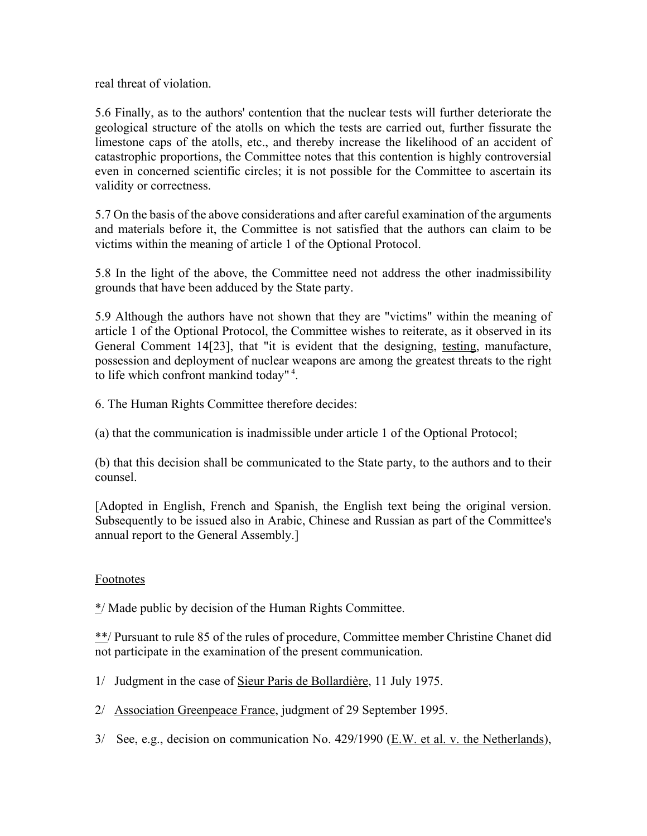real threat of violation.

5.6 Finally, as to the authors' contention that the nuclear tests will further deteriorate the geological structure of the atolls on which the tests are carried out, further fissurate the limestone caps of the atolls, etc., and thereby increase the likelihood of an accident of catastrophic proportions, the Committee notes that this contention is highly controversial even in concerned scientific circles; it is not possible for the Committee to ascertain its validity or correctness.

5.7 On the basis of the above considerations and after careful examination of the arguments and materials before it, the Committee is not satisfied that the authors can claim to be victims within the meaning of article 1 of the Optional Protocol.

5.8 In the light of the above, the Committee need not address the other inadmissibility grounds that have been adduced by the State party.

5.9 Although the authors have not shown that they are "victims" within the meaning of article 1 of the Optional Protocol, the Committee wishes to reiterate, as it observed in its General Comment 14[23], that "it is evident that the designing, testing, manufacture, possession and deployment of nuclear weapons are among the greatest threats to the right to life which confront mankind today" 4.

6. The Human Rights Committee therefore decides:

(a) that the communication is inadmissible under article 1 of the Optional Protocol;

(b) that this decision shall be communicated to the State party, to the authors and to their counsel.

[Adopted in English, French and Spanish, the English text being the original version. Subsequently to be issued also in Arabic, Chinese and Russian as part of the Committee's annual report to the General Assembly.]

# Footnotes

\*/ Made public by decision of the Human Rights Committee.

\*\*/ Pursuant to rule 85 of the rules of procedure, Committee member Christine Chanet did not participate in the examination of the present communication.

1/ Judgment in the case of Sieur Paris de Bollardière, 11 July 1975.

2/ Association Greenpeace France, judgment of 29 September 1995.

3/ See, e.g., decision on communication No. 429/1990 ( $E$ .W. et al. v. the Netherlands),